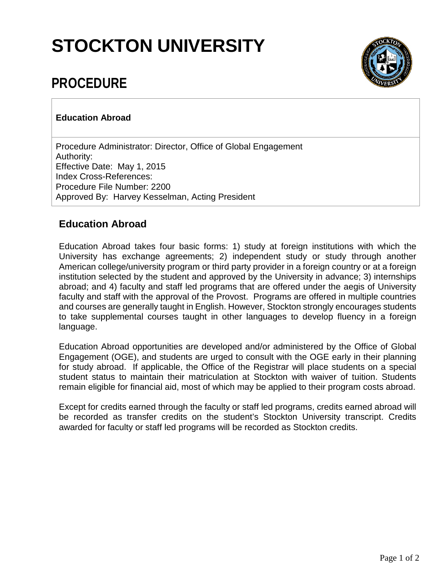## **STOCKTON UNIVERSITY**



## **PROCEDURE**

## **Education Abroad**

Procedure Administrator: Director, Office of Global Engagement Authority: Effective Date: May 1, 2015 Index Cross-References: Procedure File Number: 2200 Approved By: Harvey Kesselman, Acting President

## **Education Abroad**

Education Abroad takes four basic forms: 1) study at foreign institutions with which the University has exchange agreements; 2) independent study or study through another American college/university program or third party provider in a foreign country or at a foreign institution selected by the student and approved by the University in advance; 3) internships abroad; and 4) faculty and staff led programs that are offered under the aegis of University faculty and staff with the approval of the Provost. Programs are offered in multiple countries and courses are generally taught in English. However, Stockton strongly encourages students to take supplemental courses taught in other languages to develop fluency in a foreign language.

Education Abroad opportunities are developed and/or administered by the Office of Global Engagement (OGE), and students are urged to consult with the OGE early in their planning for study abroad. If applicable, the Office of the Registrar will place students on a special student status to maintain their matriculation at Stockton with waiver of tuition. Students remain eligible for financial aid, most of which may be applied to their program costs abroad.

Except for credits earned through the faculty or staff led programs, credits earned abroad will be recorded as transfer credits on the student's Stockton University transcript. Credits awarded for faculty or staff led programs will be recorded as Stockton credits.